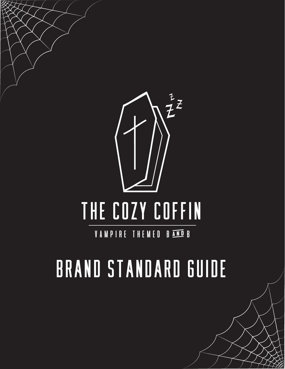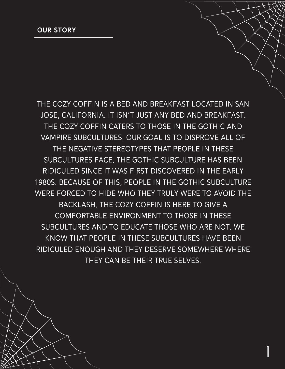the cozy coffin is a bed and breakfast located in san jose, california. it isn't just any bed and breakfast. The cozy coffin caters to those in the gothic and vampire subcultures. our goal is to disprove all of the negative stereotypes that people in these subcultures face. the gothic subculture has been ridiculed since it was first discovered in the early 1980s. because of this, people in the gothic subculture were forced to hide who they truly were to avoid the backlash. the cozy coffin is here to give a comfortable environment to those in these subcultures and to educate those who are not. we know that people in these subcultures have been ridiculed enough and they deserve somewhere where they can be their true selves.

1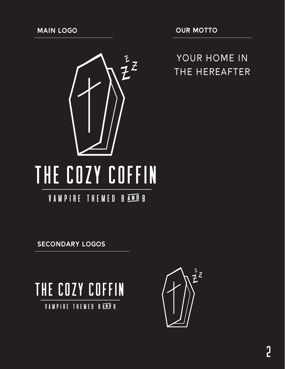

YOUR HOME IN the hereafter



 $\overline{z}^{\overline{z}}$ 

 ${\bf 1}$ 

**secondary logos**



vampire themed b&b

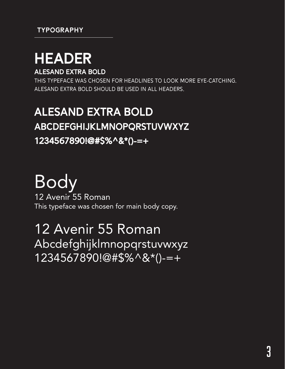## **header**

#### **alesand extra bold**

This typeface was chosen for headlines to look more eye-catching. alesand extra bold should be used in all headers.

### **Alesand Extra bold Abcdefghijklmnopqrstuvwxyz 1234567890!@#\$%^&\*()-=+**

# **Body**

12 Avenir 55 Roman This typeface was chosen for main body copy.

12 Avenir 55 Roman Abcdefghijklmnopqrstuvwxyz 1234567890!@#\$%^&\*()-=+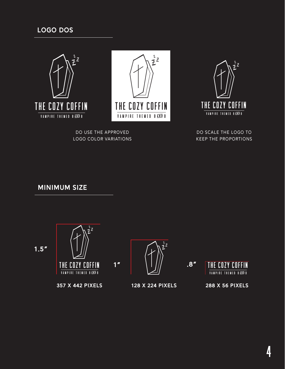



do use the approved logo color variations



do scale the logo to keep the proportions

**minimum size**



**357 x 442 pixels**

 $\bar{\vec{z}}^{\bar{z}}$ 

**1"**



**128 x 224 pixels**





**288 x 56 pixels**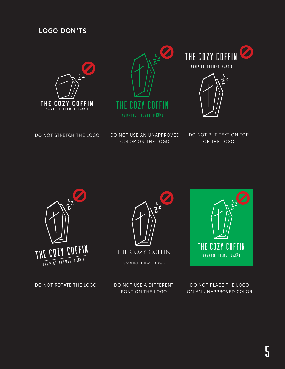







do not stretch the logo

do not use an unapproved color on the logo

do not put text on top of the logo







DO NOT ROTATE THE LOGO DO NOT USE A DIFFERENT font on the logo

do not place the logo on an unapproved color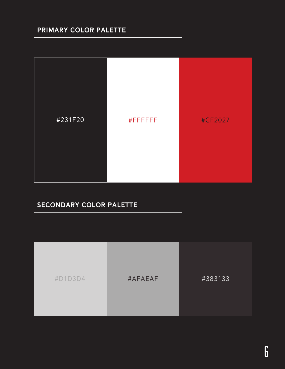#### **primary color palette**



#### **secondary color palette**